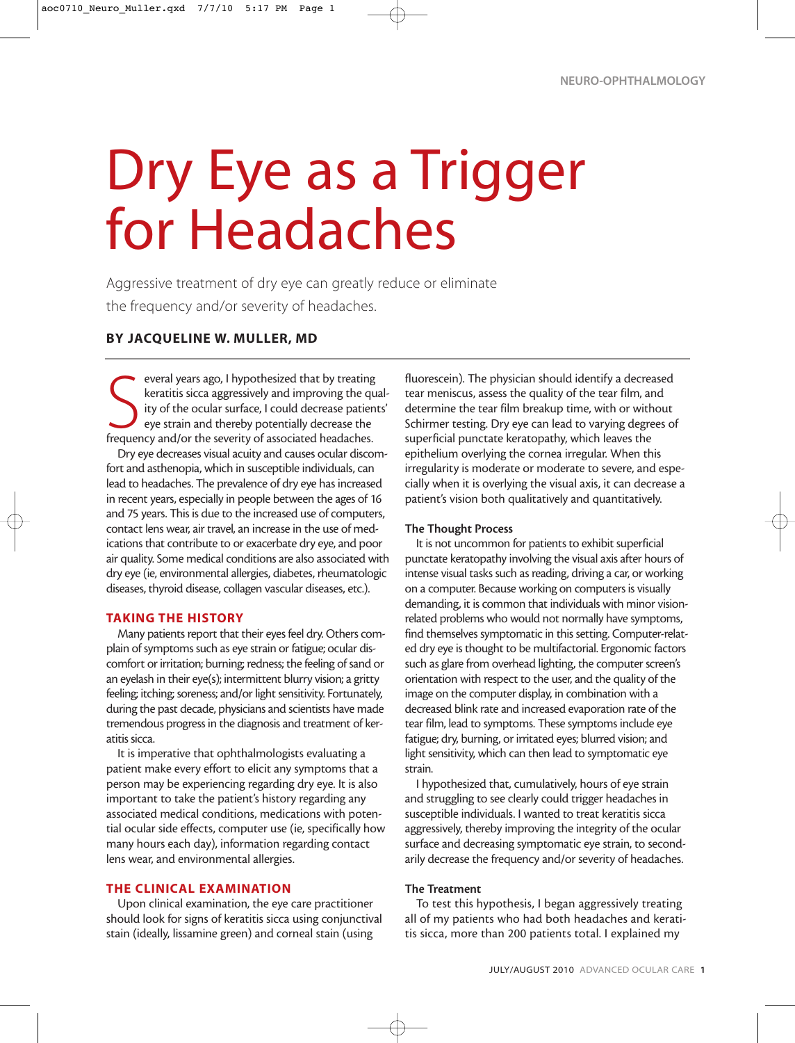# Dry Eye as a Trigger for Headaches

Aggressive treatment of dry eye can greatly reduce or eliminate the frequency and/or severity of headaches.

# BY JACQUELINE W. MULLER, MD

everal years ago, I hypothesized that by treating<br>keratitis sicca aggressively and improving the quency of the ocular surface, I could decrease patien<br>frequency and/or the severity of associated headaches. everal years ago, I hypothesized that by treating keratitis sicca aggressively and improving the quality of the ocular surface, I could decrease patients' eye strain and thereby potentially decrease the

Dry eye decreases visual acuity and causes ocular discomfort and asthenopia, which in susceptible individuals, can lead to headaches. The prevalence of dry eye has increased in recent years, especially in people between the ages of 16 and 75 years. This is due to the increased use of computers, contact lens wear, air travel, an increase in the use of medications that contribute to or exacerbate dry eye, and poor air quality. Some medical conditions are also associated with dry eye (ie, environmental allergies, diabetes, rheumatologic diseases, thyroid disease, collagen vascular diseases, etc.).

#### TAKING THE HISTORY

Many patients report that their eyes feel dry. Others complain of symptoms such as eye strain or fatigue; ocular discomfort or irritation; burning; redness; the feeling of sand or an eyelash in their eye(s); intermittent blurry vision; a gritty feeling; itching; soreness; and/or light sensitivity. Fortunately, during the past decade, physicians and scientists have made tremendous progress in the diagnosis and treatment of keratitis sicca.

It is imperative that ophthalmologists evaluating a patient make every effort to elicit any symptoms that a person may be experiencing regarding dry eye. It is also important to take the patient's history regarding any associated medical conditions, medications with potential ocular side effects, computer use (ie, specifically how many hours each day), information regarding contact lens wear, and environmental allergies.

# THE CLINICAL EXAMINATION

Upon clinical examination, the eye care practitioner should look for signs of keratitis sicca using conjunctival stain (ideally, lissamine green) and corneal stain (using

fluorescein). The physician should identify a decreased tear meniscus, assess the quality of the tear film, and determine the tear film breakup time, with or without Schirmer testing. Dry eye can lead to varying degrees of superficial punctate keratopathy, which leaves the epithelium overlying the cornea irregular. When this irregularity is moderate or moderate to severe, and especially when it is overlying the visual axis, it can decrease a patient's vision both qualitatively and quantitatively.

#### The Thought Process

It is not uncommon for patients to exhibit superficial punctate keratopathy involving the visual axis after hours of intense visual tasks such as reading, driving a car, or working on a computer. Because working on computers is visually demanding, it is common that individuals with minor visionrelated problems who would not normally have symptoms, find themselves symptomatic in this setting. Computer-related dry eye is thought to be multifactorial. Ergonomic factors such as glare from overhead lighting, the computer screen's orientation with respect to the user, and the quality of the image on the computer display, in combination with a decreased blink rate and increased evaporation rate of the tear film, lead to symptoms. These symptoms include eye fatigue; dry, burning, or irritated eyes; blurred vision; and light sensitivity, which can then lead to symptomatic eye strain.

I hypothesized that, cumulatively, hours of eye strain and struggling to see clearly could trigger headaches in susceptible individuals. I wanted to treat keratitis sicca aggressively, thereby improving the integrity of the ocular surface and decreasing symptomatic eye strain, to secondarily decrease the frequency and/or severity of headaches.

#### The Treatment

To test this hypothesis, I began aggressively treating all of my patients who had both headaches and keratitis sicca, more than 200 patients total. I explained my